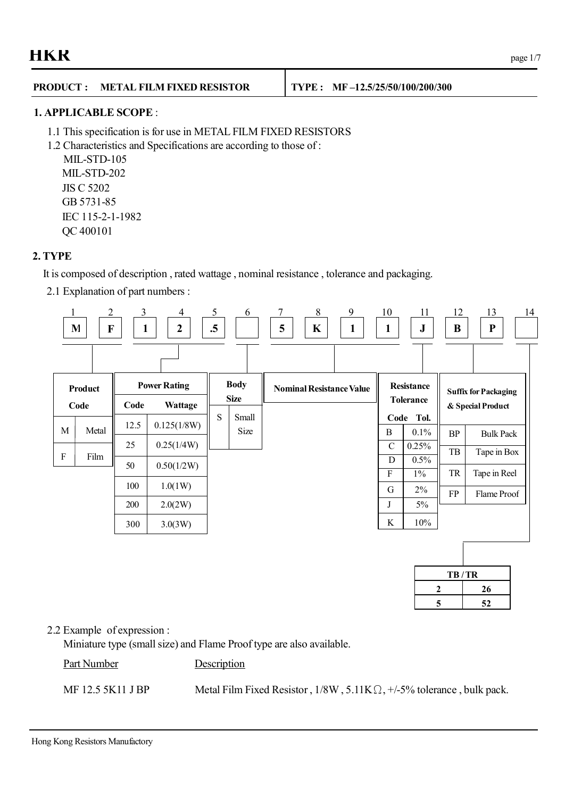### **PRODUCT : METAL FILM FIXED RESISTOR TYPE : MF –12.5/25/50/100/200/300**

#### **1. APPLICABLE SCOPE** :

- 1.1 This specification is for use in METAL FILM FIXED RESISTORS
- 1.2 Characteristics and Specifications are according to those of :

MIL-STD-105 MIL-STD-202 JIS C 5202 GB 5731-85 IEC 115-2-1-1982 QC 400101

#### **2. TYPE**

It is composed of description , rated wattage , nominal resistance , tolerance and packaging.

2.1 Explanation of part numbers :



|    | TB/TR |
|----|-------|
| 7. | 26    |
| 5  | 52    |

#### 2.2 Example of expression :

Miniature type (small size) and Flame Proof type are also available.

Part Number Description

MF 12.5 5K11 J BP Metal Film Fixed Resistor,  $1/8W$ ,  $5.11K\Omega$ ,  $+/-5\%$  tolerance, bulk pack.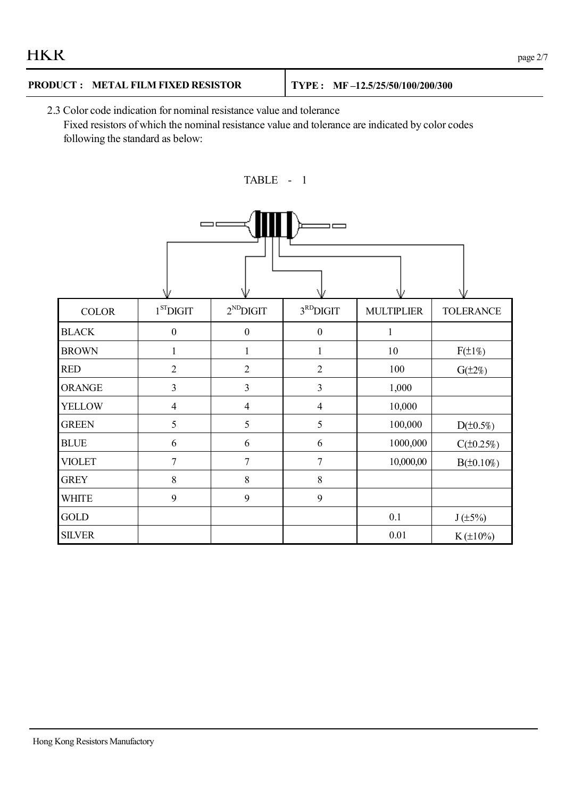| <b>HKR</b> | $\Omega$<br>page $2/7$ |
|------------|------------------------|
|------------|------------------------|

# **PRODUCT : METAL FILM FIXED RESISTOR TYPE : MF –12.5/25/50/100/200/300**

2.3 Color code indication for nominal resistance value and tolerance Fixed resistors of which the nominal resistance value and tolerance are indicated by color codes following the standard as below:



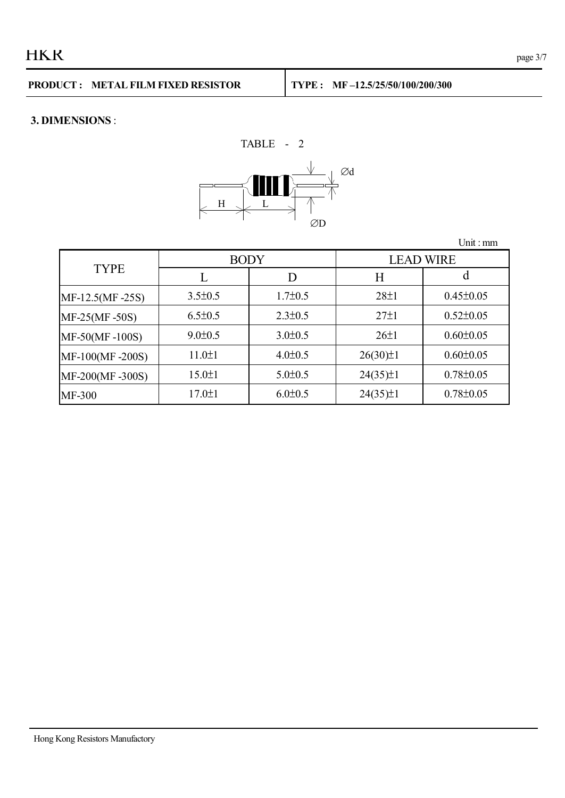#### **3. DIMENSIONS** :

 $\Box$  H  $\Box$  L  $\Box$ ÆD TABLE - 2 Æd

|                 |               |               |                  | Unit: $mm$      |
|-----------------|---------------|---------------|------------------|-----------------|
|                 | <b>BODY</b>   |               | <b>LEAD WIRE</b> |                 |
| <b>TYPE</b>     |               | D             | Η                | a               |
| MF-12.5(MF-25S) | $3.5 \pm 0.5$ | $1.7 \pm 0.5$ | $28 \pm 1$       | $0.45 \pm 0.05$ |
| MF-25(MF-50S)   | $6.5 \pm 0.5$ | $2.3 \pm 0.5$ | $27\pm1$         | $0.52 \pm 0.05$ |
| MF-50(MF-100S)  | $9.0 \pm 0.5$ | $3.0 \pm 0.5$ | $26 \pm 1$       | $0.60 \pm 0.05$ |
| MF-100(MF-200S) | 11.0±1        | $4.0 \pm 0.5$ | $26(30)\pm1$     | $0.60 \pm 0.05$ |
| MF-200(MF-300S) | $15.0 \pm 1$  | $5.0 \pm 0.5$ | $24(35)\pm 1$    | $0.78 \pm 0.05$ |
| MF-300          | $17.0 \pm 1$  | $6.0 \pm 0.5$ | $24(35)\pm 1$    | $0.78 \pm 0.05$ |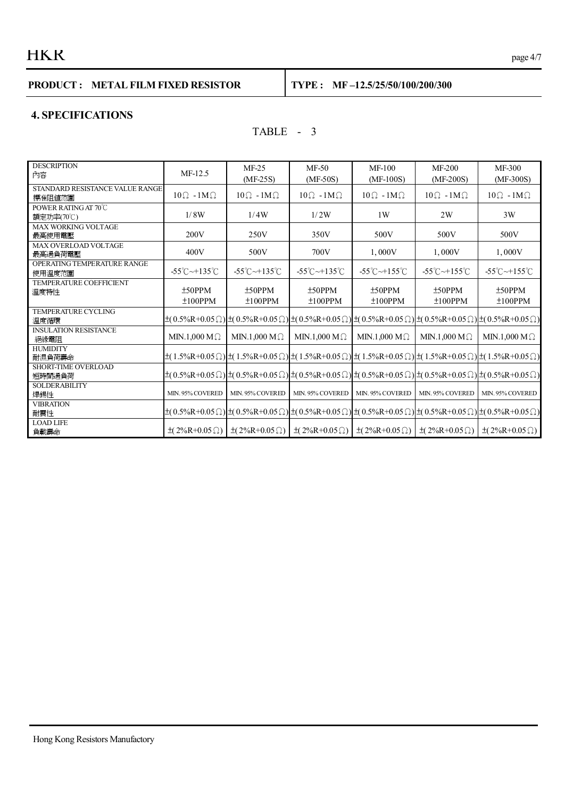# $HKR$  page 4/7

## **PRODUCT : METAL FILM FIXED RESISTOR TYPE : MF –12.5/25/50/100/200/300**

#### **4. SPECIFICATIONS**

## TABLE - 3

| <b>DESCRIPTION</b>              |                                  |                                  |                                                                                                                                                       |                                  |                                  |                                  |
|---------------------------------|----------------------------------|----------------------------------|-------------------------------------------------------------------------------------------------------------------------------------------------------|----------------------------------|----------------------------------|----------------------------------|
| 內容                              | $MF-12.5$                        | $MF-25$                          | MF-50                                                                                                                                                 | $MF-100$                         | $MF-200$                         | MF-300                           |
|                                 |                                  | $(MF-25S)$                       | $(MF-50S)$                                                                                                                                            | $(MF-100S)$                      | $(MF-200S)$                      | $(MF-300S)$                      |
| STANDARD RESISTANCE VALUE RANGE |                                  |                                  |                                                                                                                                                       |                                  |                                  |                                  |
| 標准阻値范圍                          | $10\Omega - 1 \text{M}\Omega$    | $10\Omega - 1M\Omega$            | $10\Omega - 1M\Omega$                                                                                                                                 | $10\Omega - 1M\Omega$            | $10\Omega - 1M\Omega$            | $10\Omega - 1M\Omega$            |
| POWER RATING AT 70°C            |                                  |                                  |                                                                                                                                                       |                                  |                                  |                                  |
| 額定功率(70℃)                       | 1/8W                             | 1/4W                             | 1/2W                                                                                                                                                  | 1W                               | 2W                               | 3W                               |
| <b>MAX WORKING VOLTAGE</b>      |                                  |                                  |                                                                                                                                                       |                                  |                                  |                                  |
| 最高使用電壓                          | 200V                             | 250V                             | 350V                                                                                                                                                  | 500V                             | 500V                             | 500V                             |
| MAX OVERLOAD VOLTAGE            |                                  |                                  |                                                                                                                                                       |                                  |                                  |                                  |
| 最高過負荷電壓                         | 400V                             | 500V                             | 700V                                                                                                                                                  | 1,000V                           | 1,000V                           | 1,000V                           |
| OPERATING TEMPERATURE RANGE     |                                  |                                  |                                                                                                                                                       |                                  |                                  |                                  |
| 使用溫度范圍                          | $-55^{\circ}$ C $-135^{\circ}$ C | $-55^{\circ}$ C $-135^{\circ}$ C | $-55^{\circ}$ C $-135^{\circ}$ C                                                                                                                      | $-55^{\circ}$ C $-155^{\circ}$ C | $-55^{\circ}$ C $-155^{\circ}$ C | $-55^{\circ}$ C $-155^{\circ}$ C |
| <b>TEMPERATURE COEFFICIENT</b>  |                                  |                                  |                                                                                                                                                       |                                  |                                  |                                  |
| 溫度特性                            | $±50$ PPM                        | $±50$ PPM                        | $±50$ PPM                                                                                                                                             | $±50$ PPM                        | $±50$ PPM                        | $±50$ PPM                        |
|                                 | $±100$ PPM                       | $±100$ PPM                       | $±100$ PPM                                                                                                                                            | $±100$ PPM                       | $±100$ PPM                       | $±100$ PPM                       |
| <b>TEMPERATURE CYCLING</b>      |                                  |                                  |                                                                                                                                                       |                                  |                                  |                                  |
| 溫度循環                            |                                  |                                  | $\pm(0.5\%R+0.05\Omega)$ $\pm(0.5\%R+0.05\Omega)$ $\pm(0.5\%R+0.05\Omega)$ $\pm(0.5\%R+0.05\Omega)$ $\pm(0.5\%R+0.05\Omega)$ $\pm(0.5\%R+0.05\Omega)$ |                                  |                                  |                                  |
| <b>INSULATION RESISTANCE</b>    |                                  |                                  |                                                                                                                                                       |                                  |                                  |                                  |
| 絕緣電阻                            | MIN.1,000 M $\Omega$             | MIN.1,000 M $\Omega$             | MIN.1,000 M $\Omega$                                                                                                                                  | MIN.1,000 M $\Omega$             | MIN.1,000 M $\Omega$             | MIN.1.000 M $\Omega$             |
| <b>HUMIDITY</b>                 |                                  |                                  |                                                                                                                                                       |                                  |                                  |                                  |
| 耐濕負荷壽命                          |                                  |                                  | $\pm(1.5\%R+0.05\Omega)\pm(1.5\%R+0.05\Omega)\pm(1.5\%R+0.05\Omega)\pm(1.5\%R+0.05\Omega)\pm(1.5\%R+0.05\Omega)\pm(1.5\%R+0.05\Omega)$                |                                  |                                  |                                  |
| SHORT-TIME OVERLOAD             |                                  |                                  |                                                                                                                                                       |                                  |                                  |                                  |
| 短時間過負荷                          |                                  |                                  | $\pm(0.5\%R+0.05\Omega)\pm(0.5\%R+0.05\Omega)\pm(0.5\%R+0.05\Omega)\pm(0.5\%R+0.05\Omega)\pm(0.5\%R+0.05\Omega)\pm(0.5\%R+0.05\Omega)$                |                                  |                                  |                                  |
| <b>SOLDERABILITY</b>            |                                  |                                  |                                                                                                                                                       |                                  |                                  |                                  |
| 焊錫性                             | MIN. 95% COVERED                 | MIN. 95% COVERED                 | MIN. 95% COVERED                                                                                                                                      | MIN. 95% COVERED                 | MIN. 95% COVERED                 | MIN. 95% COVERED                 |
| <b>VIBRATION</b>                |                                  |                                  |                                                                                                                                                       |                                  |                                  |                                  |
| 耐震性                             |                                  |                                  | $\pm(0.5\%R+0.05\Omega)\pm(0.5\%R+0.05\Omega)\pm(0.5\%R+0.05\Omega)\pm(0.5\%R+0.05\Omega)\pm(0.5\%R+0.05\Omega)\pm(0.5\%R+0.05\Omega)$                |                                  |                                  |                                  |
| <b>LOAD LIFE</b>                |                                  |                                  |                                                                                                                                                       |                                  |                                  |                                  |
| 負載壽命                            |                                  |                                  | $\pm(2\%R+0.05\Omega)$ $\pm(2\%R+0.05\Omega)$ $\pm(2\%R+0.05\Omega)$ $\pm(2\%R+0.05\Omega)$                                                           |                                  | $\pm (2\%R + 0.05 \Omega)$       | $\pm(2\%R+0.05\Omega)$           |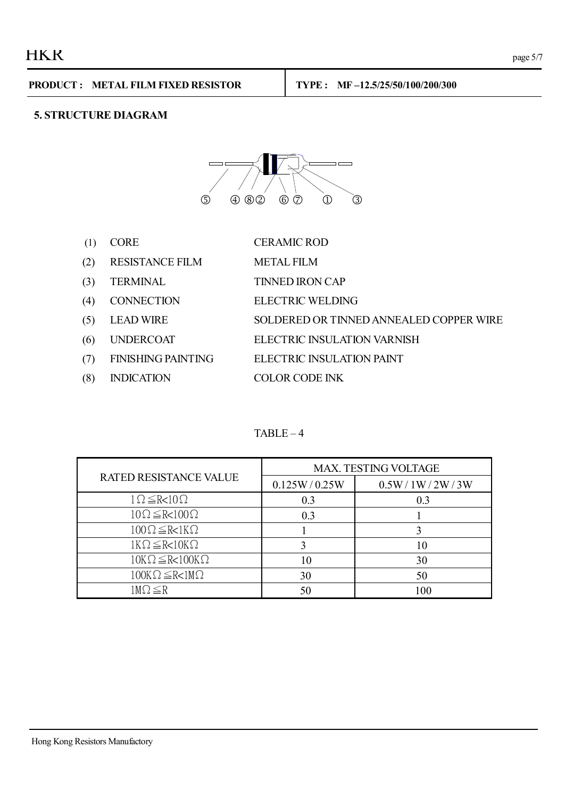## **5. STRUCTURE DIAGRAM**



| (1) | <b>CORE</b>               | <b>CERAMIC ROD</b>                      |
|-----|---------------------------|-----------------------------------------|
| (2) | <b>RESISTANCE FILM</b>    | <b>METAL FILM</b>                       |
| (3) | <b>TERMINAL</b>           | <b>TINNED IRON CAP</b>                  |
| (4) | <b>CONNECTION</b>         | <b>ELECTRIC WELDING</b>                 |
| (5) | <b>LEAD WIRE</b>          | SOLDERED OR TINNED ANNEALED COPPER WIRE |
| (6) | <b>UNDERCOAT</b>          | ELECTRIC INSULATION VARNISH             |
| (7) | <b>FINISHING PAINTING</b> | ELECTRIC INSULATION PAINT               |
| (8) | <b>INDICATION</b>         | COLOR CODE INK                          |

#### $TABLE - 4$

| RATED RESISTANCE VALUE          | <b>MAX. TESTING VOLTAGE</b> |                |  |
|---------------------------------|-----------------------------|----------------|--|
|                                 | 0.125W/0.25W                | 0.5W/1W/2W/3W  |  |
| $1 \Omega \leq R < 10 \Omega$   | 0.3                         | 0 <sup>3</sup> |  |
| $10\Omega \leq R < 100\Omega$   | 0.3                         |                |  |
| $100\Omega \leq R < 1K\Omega$   |                             |                |  |
| $1K\Omega \leq R < 10K\Omega$   |                             | 10             |  |
| $10K\Omega \leq R < 100K\Omega$ |                             | 30             |  |
| $100K\Omega \leq R < 1M\Omega$  | 30                          | 50             |  |
| $1 \text{M}\Omega \leq R$       | 50                          | 100            |  |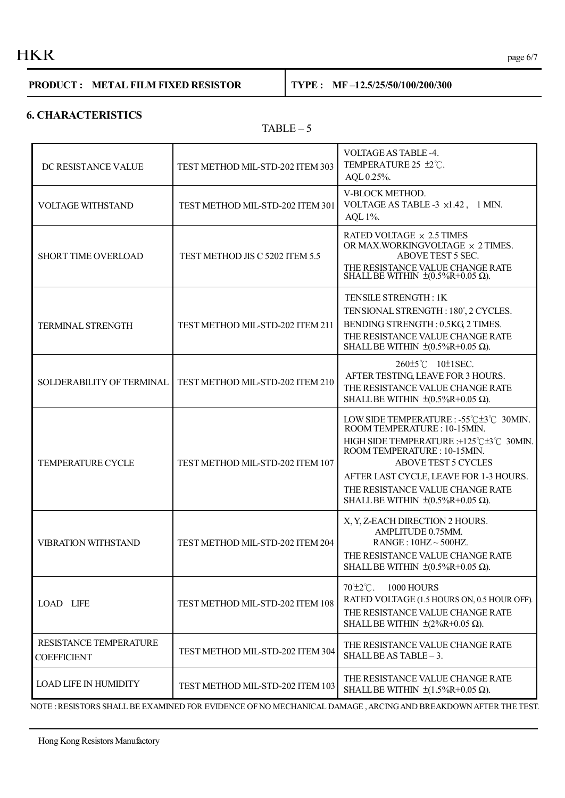# $HKR$  page 6/7

#### **PRODUCT : METAL FILM FIXED RESISTOR TYPE : MF –12.5/25/50/100/200/300**

#### **6. CHARACTERISTICS**

#### $TABLE - 5$

| DC RESISTANCE VALUE                          | TEST METHOD MIL-STD-202 ITEM 303 | <b>VOLTAGE AS TABLE -4.</b><br>TEMPERATURE 25 ±2°C.<br>AQL 0.25%.                                                                                                                                                                                                                                                        |  |
|----------------------------------------------|----------------------------------|--------------------------------------------------------------------------------------------------------------------------------------------------------------------------------------------------------------------------------------------------------------------------------------------------------------------------|--|
| <b>VOLTAGE WITHSTAND</b>                     | TEST METHOD MIL-STD-202 ITEM 301 | V-BLOCK METHOD.<br>VOLTAGE AS TABLE -3 x1.42, 1 MIN.<br>AQL 1%.                                                                                                                                                                                                                                                          |  |
| SHORT TIME OVERLOAD                          | TEST METHOD JIS C 5202 ITEM 5.5  | RATED VOLTAGE × 2.5 TIMES<br>OR MAX.WORKINGVOLTAGE x 2 TIMES.<br>ABOVE TEST 5 SEC.<br>THE RESISTANCE VALUE CHANGE RATE<br>SHALL BE WITHIN $\pm (0.5\%R + 0.05 \Omega)$ .                                                                                                                                                 |  |
| TERMINAL STRENGTH                            | TEST METHOD MIL-STD-202 ITEM 211 | TENSILE STRENGTH: 1K<br>TENSIONAL STRENGTH: 180°, 2 CYCLES.<br>BENDING STRENGTH: 0.5KG, 2 TIMES.<br>THE RESISTANCE VALUE CHANGE RATE<br>SHALL BE WITHIN $\pm (0.5\%R+0.05 \Omega)$ .                                                                                                                                     |  |
| SOLDERABILITY OF TERMINAL                    | TEST METHOD MIL-STD-202 ITEM 210 | 260±5℃ 10±1SEC.<br>AFTER TESTING, LEAVE FOR 3 HOURS.<br>THE RESISTANCE VALUE CHANGE RATE<br>SHALL BE WITHIN $\pm (0.5\% \text{R} + 0.05 \Omega)$ .                                                                                                                                                                       |  |
| <b>TEMPERATURE CYCLE</b>                     | TEST METHOD MIL-STD-202 ITEM 107 | LOW SIDE TEMPERATURE : -55°C±3°C 30MIN.<br>ROOM TEMPERATURE: 10-15MIN.<br>HIGH SIDE TEMPERATURE : +125°C±3°C 30MIN.<br>ROOM TEMPERATURE: 10-15MIN.<br><b>ABOVE TEST 5 CYCLES</b><br>AFTER LAST CYCLE, LEAVE FOR 1-3 HOURS.<br>THE RESISTANCE VALUE CHANGE RATE<br>SHALL BE WITHIN $\pm (0.5\% \text{R} + 0.05 \Omega)$ . |  |
| <b>VIBRATION WITHSTAND</b>                   | TEST METHOD MIL-STD-202 ITEM 204 | X, Y, Z-EACH DIRECTION 2 HOURS.<br>AMPLITUDE 0.75MM.<br>$RANGE$ : 10HZ ~ 500HZ.<br>THE RESISTANCE VALUE CHANGE RATE<br>SHALL BE WITHIN $\pm (0.5\% \text{R} + 0.05 \Omega)$ .                                                                                                                                            |  |
| <b>LOAD LIFE</b>                             | TEST METHOD MIL-STD-202 ITEM 108 | $70^{\circ}$ ±2 $^{\circ}$ C.<br>1000 HOURS<br>RATED VOLTAGE (1.5 HOURS ON, 0.5 HOUR OFF).<br>THE RESISTANCE VALUE CHANGE RATE<br>SHALL BE WITHIN $\pm (2\%R+0.05 \Omega)$ .                                                                                                                                             |  |
| RESISTANCE TEMPERATURE<br><b>COEFFICIENT</b> | TEST METHOD MIL-STD-202 ITEM 304 | THE RESISTANCE VALUE CHANGE RATE<br>SHALL BE AS TABLE - 3.                                                                                                                                                                                                                                                               |  |
| <b>LOAD LIFE IN HUMIDITY</b>                 | TEST METHOD MIL-STD-202 ITEM 103 | THE RESISTANCE VALUE CHANGE RATE<br>SHALL BE WITHIN $\pm (1.5\%R+0.05 \Omega)$ .                                                                                                                                                                                                                                         |  |

NOTE :RESISTORS SHALL BE EXAMINED FOR EVIDENCE OF NO MECHANICAL DAMAGE ,ARCINGAND BREAKDOWNAFTER THE TEST.